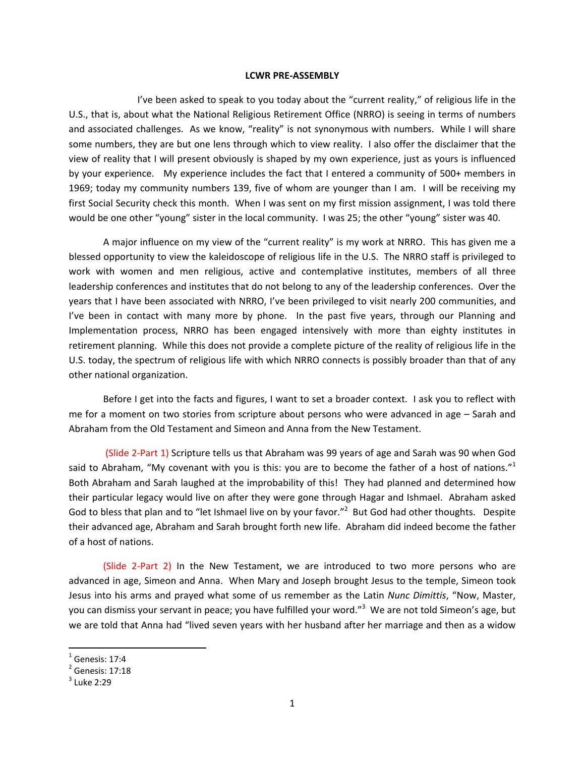## **LCWR PRE‐ASSEMBLY**

I've been asked to speak to you today about the "current reality," of religious life in the U.S., that is, about what the National Religious Retirement Office (NRRO) is seeing in terms of numbers and associated challenges. As we know, "reality" is not synonymous with numbers. While I will share some numbers, they are but one lens through which to view reality. I also offer the disclaimer that the view of reality that I will present obviously is shaped by my own experience, just as yours is influenced by your experience. My experience includes the fact that I entered a community of 500+ members in 1969; today my community numbers 139, five of whom are younger than I am. I will be receiving my first Social Security check this month. When I was sent on my first mission assignment, I was told there would be one other "young" sister in the local community. I was 25; the other "young" sister was 40.

A major influence on my view of the "current reality" is my work at NRRO. This has given me a blessed opportunity to view the kaleidoscope of religious life in the U.S. The NRRO staff is privileged to work with women and men religious, active and contemplative institutes, members of all three leadership conferences and institutes that do not belong to any of the leadership conferences. Over the years that I have been associated with NRRO, I've been privileged to visit nearly 200 communities, and I've been in contact with many more by phone. In the past five years, through our Planning and Implementation process, NRRO has been engaged intensively with more than eighty institutes in retirement planning. While this does not provide a complete picture of the reality of religious life in the U.S. today, the spectrum of religious life with which NRRO connects is possibly broader than that of any other national organization.

Before I get into the facts and figures, I want to set a broader context. I ask you to reflect with me for a moment on two stories from scripture about persons who were advanced in age – Sarah and Abraham from the Old Testament and Simeon and Anna from the New Testament.

(Slide 2‐Part 1) Scripture tells us that Abraham was 99 years of age and Sarah was 90 when God said to Abraham, "My covenant with you is this: you are to become the father of a host of nations."<sup>1</sup> Both Abraham and Sarah laughed at the improbability of this! They had planned and determined how their particular legacy would live on after they were gone through Hagar and Ishmael. Abraham asked God to bless that plan and to "let Ishmael live on by your favor."<sup>2</sup> But God had other thoughts. Despite their advanced age, Abraham and Sarah brought forth new life. Abraham did indeed become the father of a host of nations.

(Slide 2‐Part 2) In the New Testament, we are introduced to two more persons who are advanced in age, Simeon and Anna. When Mary and Joseph brought Jesus to the temple, Simeon took Jesus into his arms and prayed what some of us remember as the Latin *Nunc Dimittis*, "Now, Master, you can dismiss your servant in peace; you have fulfilled your word."<sup>3</sup> We are not told Simeon's age, but we are told that Anna had "lived seven years with her husband after her marriage and then as a widow

<sup>&</sup>lt;sup>1</sup> Genesis: 17:4<br><sup>2</sup> Genesis: 17:18<br><sup>3</sup> Luke 2:29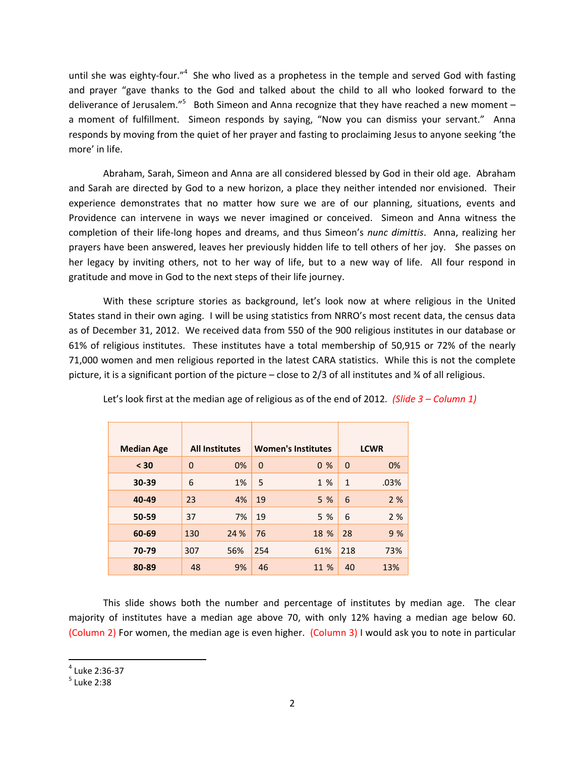until she was eighty-four."<sup>4</sup> She who lived as a prophetess in the temple and served God with fasting and prayer "gave thanks to the God and talked about the child to all who looked forward to the deliverance of Jerusalem."<sup>5</sup> Both Simeon and Anna recognize that they have reached a new moment – a moment of fulfillment. Simeon responds by saying, "Now you can dismiss your servant." Anna responds by moving from the quiet of her prayer and fasting to proclaiming Jesus to anyone seeking 'the more' in life.

Abraham, Sarah, Simeon and Anna are all considered blessed by God in their old age. Abraham and Sarah are directed by God to a new horizon, a place they neither intended nor envisioned. Their experience demonstrates that no matter how sure we are of our planning, situations, events and Providence can intervene in ways we never imagined or conceived. Simeon and Anna witness the completion of their life‐long hopes and dreams, and thus Simeon's *nunc dimittis*. Anna, realizing her prayers have been answered, leaves her previously hidden life to tell others of her joy. She passes on her legacy by inviting others, not to her way of life, but to a new way of life. All four respond in gratitude and move in God to the next steps of their life journey.

With these scripture stories as background, let's look now at where religious in the United States stand in their own aging. I will be using statistics from NRRO's most recent data, the census data as of December 31, 2012. We received data from 550 of the 900 religious institutes in our database or 61% of religious institutes. These institutes have a total membership of 50,915 or 72% of the nearly 71,000 women and men religious reported in the latest CARA statistics. While this is not the complete picture, it is a significant portion of the picture – close to 2/3 of all institutes and  $\frac{3}{4}$  of all religious.

| <b>Median Age</b> |             | <b>All Institutes</b> |                | <b>Women's Institutes</b> |                | <b>LCWR</b> |
|-------------------|-------------|-----------------------|----------------|---------------------------|----------------|-------------|
| < 30              | $\mathbf 0$ | 0%                    | $\overline{0}$ | 0 <sub>%</sub>            | $\overline{0}$ | 0%          |
| 30-39             | 6           | 1%                    | 5              | 1 %                       | $\mathbf{1}$   | .03%        |
| 40-49             | 23          | 4%                    | 19             | 5 %                       | 6              | 2%          |
| 50-59             | 37          | 7%                    | 19             | 5 %                       | 6              | 2%          |
| 60-69             | 130         | 24 %                  | 76             | 18 %                      | 28             | 9%          |
| 70-79             | 307         | 56%                   | 254            | 61%                       | 218            | 73%         |
| 80-89             | 48          | 9%                    | 46             | 11 %                      | 40             | 13%         |

Let's look first at the median age of religious as of the end of 2012*. (Slide 3 – Column 1)*

This slide shows both the number and percentage of institutes by median age. The clear majority of institutes have a median age above 70, with only 12% having a median age below 60. (Column 2) For women, the median age is even higher. (Column 3) I would ask you to note in particular

 $^4$  Luke 2:36-37<br> $^5$  Luke 2:38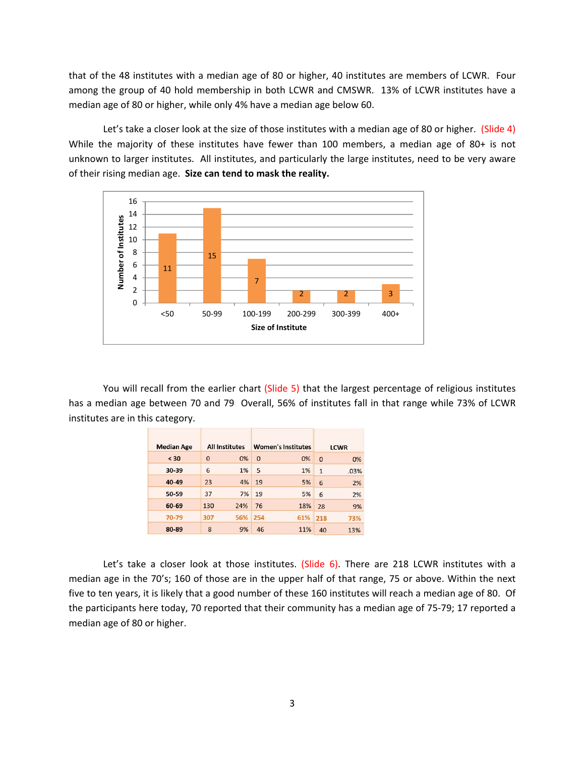that of the 48 institutes with a median age of 80 or higher, 40 institutes are members of LCWR. Four among the group of 40 hold membership in both LCWR and CMSWR. 13% of LCWR institutes have a median age of 80 or higher, while only 4% have a median age below 60.

Let's take a closer look at the size of those institutes with a median age of 80 or higher. (Slide 4) While the majority of these institutes have fewer than 100 members, a median age of 80+ is not unknown to larger institutes. All institutes, and particularly the large institutes, need to be very aware of their rising median age. **Size can tend to mask the reality.**



You will recall from the earlier chart (Slide 5) that the largest percentage of religious institutes has a median age between 70 and 79 Overall, 56% of institutes fall in that range while 73% of LCWR institutes are in this category.

| <b>Median Age</b> | <b>All Institutes</b> |     | <b>Women's Institutes</b> |     | <b>LCWR</b>  |      |
|-------------------|-----------------------|-----|---------------------------|-----|--------------|------|
| < 30              | $\Omega$              | 0%  | $\overline{0}$            | 0%  | $\Omega$     | 0%   |
| 30-39             | 6                     | 1%  | 5                         | 1%  | $\mathbf{1}$ | .03% |
| 40-49             | 23                    | 4%  | 19                        | 5%  | 6            | 2%   |
| 50-59             | 37                    | 7%  | 19                        | 5%  | 6            | 2%   |
| 60-69             | 130                   | 24% | 76                        | 18% | 28           | 9%   |
| 70-79             | 307                   | 56% | 254                       | 61% | 218          | 73%  |
| 80-89             | 8                     | 9%  | 46                        | 11% | 40           | 13%  |

Let's take a closer look at those institutes. (Slide 6). There are 218 LCWR institutes with a median age in the 70's; 160 of those are in the upper half of that range, 75 or above. Within the next five to ten years, it is likely that a good number of these 160 institutes will reach a median age of 80. Of the participants here today, 70 reported that their community has a median age of 75‐79; 17 reported a median age of 80 or higher.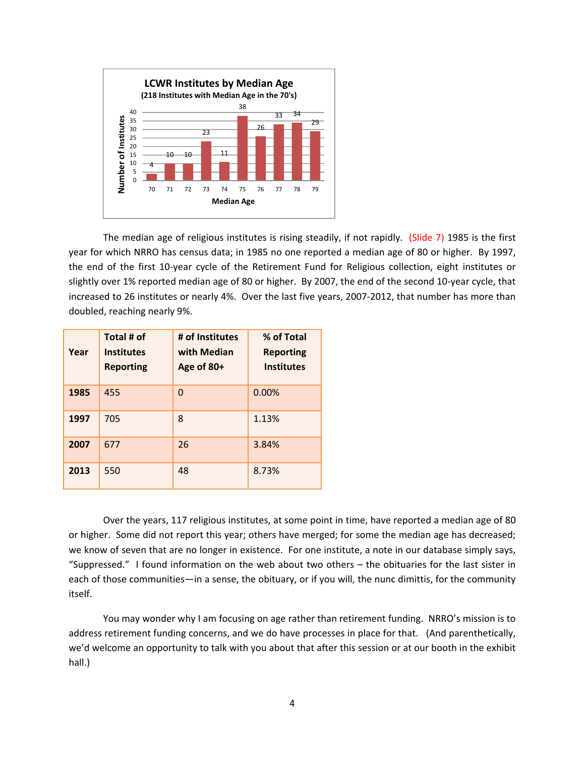

The median age of religious institutes is rising steadily, if not rapidly. (Slide 7) 1985 is the first year for which NRRO has census data; in 1985 no one reported a median age of 80 or higher. By 1997, the end of the first 10‐year cycle of the Retirement Fund for Religious collection, eight institutes or slightly over 1% reported median age of 80 or higher. By 2007, the end of the second 10‐year cycle, that increased to 26 institutes or nearly 4%. Over the last five years, 2007-2012, that number has more than doubled, reaching nearly 9%.

| Year | Total # of<br><b>Institutes</b><br><b>Reporting</b> | # of Institutes<br>with Median<br>Age of 80+ | % of Total<br><b>Reporting</b><br><b>Institutes</b> |
|------|-----------------------------------------------------|----------------------------------------------|-----------------------------------------------------|
| 1985 | 455                                                 | $\overline{0}$                               | 0.00%                                               |
| 1997 | 705                                                 | 8                                            | 1.13%                                               |
| 2007 | 677                                                 | 26                                           | 3.84%                                               |
| 2013 | 550                                                 | 48                                           | 8.73%                                               |

Over the years, 117 religious institutes, at some point in time, have reported a median age of 80 or higher. Some did not report this year; others have merged; for some the median age has decreased; we know of seven that are no longer in existence. For one institute, a note in our database simply says, "Suppressed." I found information on the web about two others – the obituaries for the last sister in each of those communities—in a sense, the obituary, or if you will, the nunc dimittis, for the community itself.

You may wonder why I am focusing on age rather than retirement funding. NRRO's mission is to address retirement funding concerns, and we do have processes in place for that. (And parenthetically, we'd welcome an opportunity to talk with you about that after this session or at our booth in the exhibit hall.)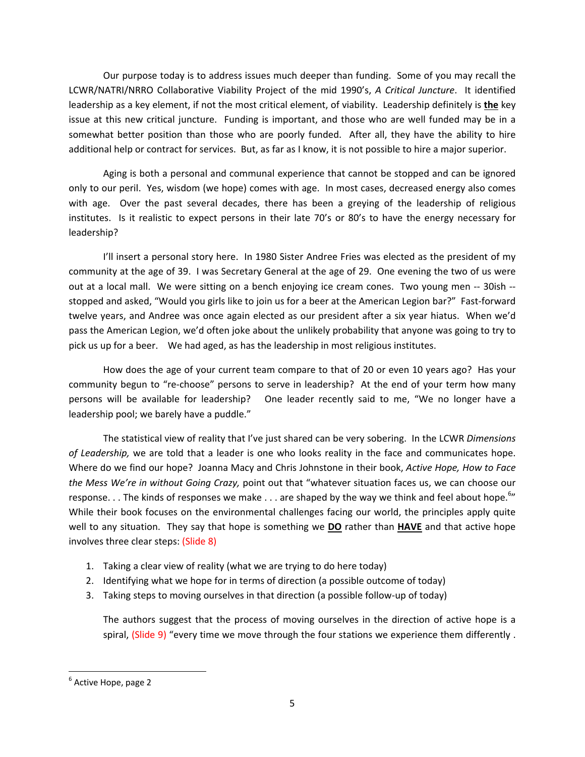Our purpose today is to address issues much deeper than funding. Some of you may recall the LCWR/NATRI/NRRO Collaborative Viability Project of the mid 1990's, *A Critical Juncture*. It identified leadership as a key element, if not the most critical element, of viability. Leadership definitely is **the** key issue at this new critical juncture. Funding is important, and those who are well funded may be in a somewhat better position than those who are poorly funded. After all, they have the ability to hire additional help or contract for services. But, as far as I know, it is not possible to hire a major superior.

Aging is both a personal and communal experience that cannot be stopped and can be ignored only to our peril. Yes, wisdom (we hope) comes with age. In most cases, decreased energy also comes with age. Over the past several decades, there has been a greying of the leadership of religious institutes. Is it realistic to expect persons in their late 70's or 80's to have the energy necessary for leadership?

I'll insert a personal story here. In 1980 Sister Andree Fries was elected as the president of my community at the age of 39. I was Secretary General at the age of 29. One evening the two of us were out at a local mall. We were sitting on a bench enjoying ice cream cones. Two young men -- 30ish -stopped and asked, "Would you girls like to join us for a beer at the American Legion bar?" Fast-forward twelve years, and Andree was once again elected as our president after a six year hiatus. When we'd pass the American Legion, we'd often joke about the unlikely probability that anyone was going to try to pick us up for a beer. We had aged, as has the leadership in most religious institutes.

How does the age of your current team compare to that of 20 or even 10 years ago? Has your community begun to "re-choose" persons to serve in leadership? At the end of your term how many persons will be available for leadership? One leader recently said to me, "We no longer have a leadership pool; we barely have a puddle."

The statistical view of reality that I've just shared can be very sobering. In the LCWR *Dimensions of Leadership,* we are told that a leader is one who looks reality in the face and communicates hope. Where do we find our hope? Joanna Macy and Chris Johnstone in their book, *Active Hope, How to Face the Mess We're in without Going Crazy,* point out that "whatever situation faces us, we can choose our response. . . The kinds of responses we make . . . are shaped by the way we think and feel about hope.<sup>6</sup>" While their book focuses on the environmental challenges facing our world, the principles apply quite well to any situation. They say that hope is something we **DO** rather than **HAVE** and that active hope involves three clear steps: (Slide 8)

- 1. Taking a clear view of reality (what we are trying to do here today)
- 2. Identifying what we hope for in terms of direction (a possible outcome of today)
- 3. Taking steps to moving ourselves in that direction (a possible follow‐up of today)

The authors suggest that the process of moving ourselves in the direction of active hope is a spiral, (Slide 9) "every time we move through the four stations we experience them differently.

 $<sup>6</sup>$  Active Hope, page 2</sup>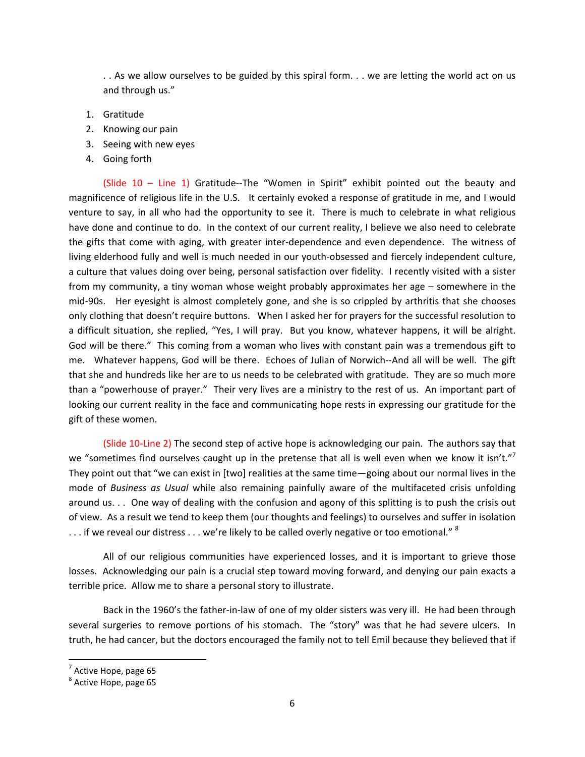. . As we allow ourselves to be guided by this spiral form. . . we are letting the world act on us and through us."

- 1. Gratitude
- 2. Knowing our pain
- 3. Seeing with new eyes
- 4. Going forth

(Slide  $10 -$  Line  $1$ ) Gratitude--The "Women in Spirit" exhibit pointed out the beauty and magnificence of religious life in the U.S. It certainly evoked a response of gratitude in me, and I would venture to say, in all who had the opportunity to see it. There is much to celebrate in what religious have done and continue to do. In the context of our current reality, I believe we also need to celebrate the gifts that come with aging, with greater inter‐dependence and even dependence. The witness of living elderhood fully and well is much needed in our youth‐obsessed and fiercely independent culture, a culture that values doing over being, personal satisfaction over fidelity. I recently visited with a sister from my community, a tiny woman whose weight probably approximates her age – somewhere in the mid‐90s. Her eyesight is almost completely gone, and she is so crippled by arthritis that she chooses only clothing that doesn't require buttons. When I asked her for prayers for the successful resolution to a difficult situation, she replied, "Yes, I will pray. But you know, whatever happens, it will be alright. God will be there." This coming from a woman who lives with constant pain was a tremendous gift to me. Whatever happens, God will be there. Echoes of Julian of Norwich--And all will be well. The gift that she and hundreds like her are to us needs to be celebrated with gratitude. They are so much more than a "powerhouse of prayer." Their very lives are a ministry to the rest of us. An important part of looking our current reality in the face and communicating hope rests in expressing our gratitude for the gift of these women.

(Slide 10‐Line 2) The second step of active hope is acknowledging our pain. The authors say that we "sometimes find ourselves caught up in the pretense that all is well even when we know it isn't."<sup>7</sup> They point out that "we can exist in [two] realities at the same time—going about our normal lives in the mode of *Business as Usual* while also remaining painfully aware of the multifaceted crisis unfolding around us. . . One way of dealing with the confusion and agony of this splitting is to push the crisis out of view. As a result we tend to keep them (our thoughts and feelings) to ourselves and suffer in isolation  $\dots$  if we reveal our distress  $\dots$  we're likely to be called overly negative or too emotional."  $^8$ 

All of our religious communities have experienced losses, and it is important to grieve those losses. Acknowledging our pain is a crucial step toward moving forward, and denying our pain exacts a terrible price. Allow me to share a personal story to illustrate.

Back in the 1960's the father-in-law of one of my older sisters was very ill. He had been through several surgeries to remove portions of his stomach. The "story" was that he had severe ulcers. In truth, he had cancer, but the doctors encouraged the family not to tell Emil because they believed that if

 $^7$  Active Hope, page 65<br> $^8$  Active Hope, page 65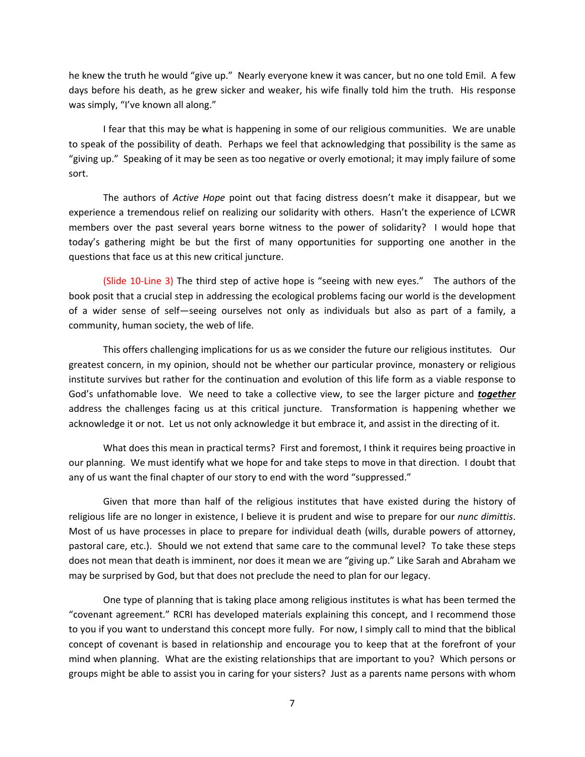he knew the truth he would "give up." Nearly everyone knew it was cancer, but no one told Emil. A few days before his death, as he grew sicker and weaker, his wife finally told him the truth. His response was simply, "I've known all along."

I fear that this may be what is happening in some of our religious communities. We are unable to speak of the possibility of death. Perhaps we feel that acknowledging that possibility is the same as "giving up." Speaking of it may be seen as too negative or overly emotional; it may imply failure of some sort.

The authors of *Active Hope* point out that facing distress doesn't make it disappear, but we experience a tremendous relief on realizing our solidarity with others. Hasn't the experience of LCWR members over the past several years borne witness to the power of solidarity? I would hope that today's gathering might be but the first of many opportunities for supporting one another in the questions that face us at this new critical juncture.

(Slide 10‐Line 3) The third step of active hope is "seeing with new eyes." The authors of the book posit that a crucial step in addressing the ecological problems facing our world is the development of a wider sense of self—seeing ourselves not only as individuals but also as part of a family, a community, human society, the web of life.

This offers challenging implications for us as we consider the future our religious institutes. Our greatest concern, in my opinion, should not be whether our particular province, monastery or religious institute survives but rather for the continuation and evolution of this life form as a viable response to God's unfathomable love. We need to take a collective view, to see the larger picture and *together* address the challenges facing us at this critical juncture. Transformation is happening whether we acknowledge it or not. Let us not only acknowledge it but embrace it, and assist in the directing of it.

What does this mean in practical terms? First and foremost, I think it requires being proactive in our planning. We must identify what we hope for and take steps to move in that direction. I doubt that any of us want the final chapter of our story to end with the word "suppressed."

Given that more than half of the religious institutes that have existed during the history of religious life are no longer in existence, I believe it is prudent and wise to prepare for our *nunc dimittis*. Most of us have processes in place to prepare for individual death (wills, durable powers of attorney, pastoral care, etc.). Should we not extend that same care to the communal level? To take these steps does not mean that death is imminent, nor does it mean we are "giving up." Like Sarah and Abraham we may be surprised by God, but that does not preclude the need to plan for our legacy.

One type of planning that is taking place among religious institutes is what has been termed the "covenant agreement." RCRI has developed materials explaining this concept, and I recommend those to you if you want to understand this concept more fully. For now, I simply call to mind that the biblical concept of covenant is based in relationship and encourage you to keep that at the forefront of your mind when planning. What are the existing relationships that are important to you? Which persons or groups might be able to assist you in caring for your sisters? Just as a parents name persons with whom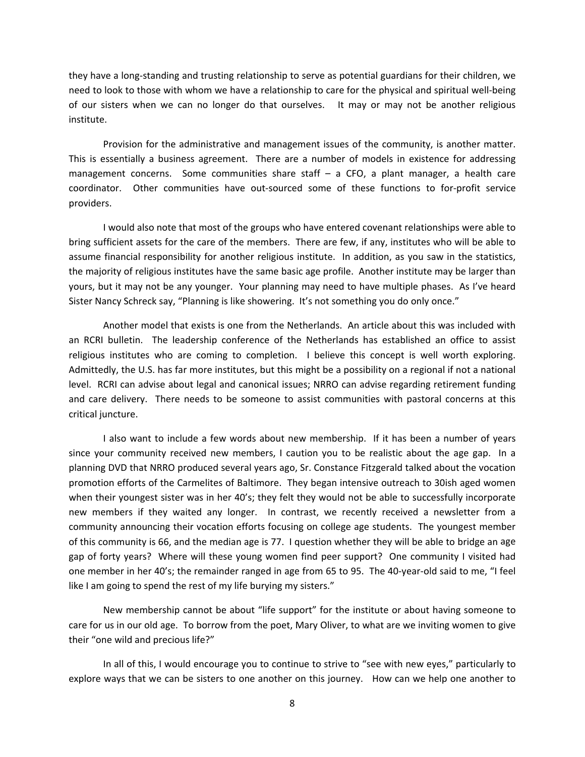they have a long‐standing and trusting relationship to serve as potential guardians for their children, we need to look to those with whom we have a relationship to care for the physical and spiritual well‐being of our sisters when we can no longer do that ourselves. It may or may not be another religious institute.

Provision for the administrative and management issues of the community, is another matter. This is essentially a business agreement. There are a number of models in existence for addressing management concerns. Some communities share staff  $-$  a CFO, a plant manager, a health care coordinator. Other communities have out-sourced some of these functions to for-profit service providers.

I would also note that most of the groups who have entered covenant relationships were able to bring sufficient assets for the care of the members. There are few, if any, institutes who will be able to assume financial responsibility for another religious institute. In addition, as you saw in the statistics, the majority of religious institutes have the same basic age profile. Another institute may be larger than yours, but it may not be any younger. Your planning may need to have multiple phases. As I've heard Sister Nancy Schreck say, "Planning is like showering. It's not something you do only once."

Another model that exists is one from the Netherlands. An article about this was included with an RCRI bulletin. The leadership conference of the Netherlands has established an office to assist religious institutes who are coming to completion. I believe this concept is well worth exploring. Admittedly, the U.S. has far more institutes, but this might be a possibility on a regional if not a national level. RCRI can advise about legal and canonical issues; NRRO can advise regarding retirement funding and care delivery. There needs to be someone to assist communities with pastoral concerns at this critical juncture.

I also want to include a few words about new membership. If it has been a number of years since your community received new members, I caution you to be realistic about the age gap. In a planning DVD that NRRO produced several years ago, Sr. Constance Fitzgerald talked about the vocation promotion efforts of the Carmelites of Baltimore. They began intensive outreach to 30ish aged women when their youngest sister was in her 40's; they felt they would not be able to successfully incorporate new members if they waited any longer. In contrast, we recently received a newsletter from a community announcing their vocation efforts focusing on college age students. The youngest member of this community is 66, and the median age is 77. I question whether they will be able to bridge an age gap of forty years? Where will these young women find peer support? One community I visited had one member in her 40's; the remainder ranged in age from 65 to 95. The 40‐year‐old said to me, "I feel like I am going to spend the rest of my life burying my sisters."

New membership cannot be about "life support" for the institute or about having someone to care for us in our old age. To borrow from the poet, Mary Oliver, to what are we inviting women to give their "one wild and precious life?"

In all of this, I would encourage you to continue to strive to "see with new eyes," particularly to explore ways that we can be sisters to one another on this journey. How can we help one another to